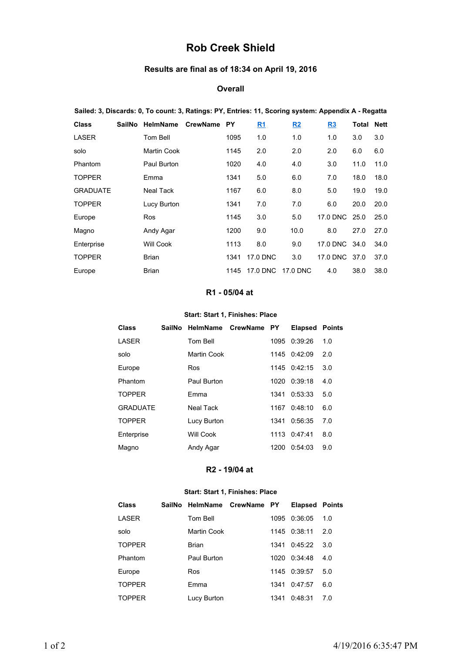# **Rob Creek Shield**

## **Results are final as of 18:34 on April 19, 2016**

#### **Overall**

| Sailed: 3, Discards: 0, To count: 3, Ratings: PY, Entries: 11, Scoring system: Appendix A - Regatta |        |                 |          |           |           |           |               |       |             |
|-----------------------------------------------------------------------------------------------------|--------|-----------------|----------|-----------|-----------|-----------|---------------|-------|-------------|
| <b>Class</b>                                                                                        | SailNo | <b>HelmName</b> | CrewName | <b>PY</b> | <u>R1</u> | <u>R2</u> | R3            | Total | <b>Nett</b> |
| LASER                                                                                               |        | Tom Bell        |          | 1095      | 1.0       | 1.0       | 1.0           | 3.0   | 3.0         |
| solo                                                                                                |        | Martin Cook     |          | 1145      | 2.0       | 2.0       | 2.0           | 6.0   | 6.0         |
| Phantom                                                                                             |        | Paul Burton     |          | 1020      | 4.0       | 4.0       | 3.0           | 11.0  | 11.0        |
| <b>TOPPER</b>                                                                                       |        | Emma            |          | 1341      | 5.0       | 6.0       | 7.0           | 18.0  | 18.0        |
| <b>GRADUATE</b>                                                                                     |        | Neal Tack       |          | 1167      | 6.0       | 8.0       | 5.0           | 19.0  | 19.0        |
| <b>TOPPER</b>                                                                                       |        | Lucy Burton     |          | 1341      | 7.0       | 7.0       | 6.0           | 20.0  | 20.0        |
| Europe                                                                                              |        | Ros             |          | 1145      | 3.0       | 5.0       | 17.0 DNC 25.0 |       | 25.0        |
| Magno                                                                                               |        | Andy Agar       |          | 1200      | 9.0       | 10.0      | 8.0           | 27.0  | 27.0        |
| Enterprise                                                                                          |        | Will Cook       |          | 1113      | 8.0       | 9.0       | 17.0 DNC 34.0 |       | 34.0        |
| <b>TOPPER</b>                                                                                       |        | Brian           |          | 1341      | 17.0 DNC  | 3.0       | 17.0 DNC 37.0 |       | 37.0        |
| Europe                                                                                              |        | Brian           |          | 1145      | 17.0 DNC  | 17.0 DNC  | 4.0           | 38.0  | 38.0        |

#### **R1 - 05/04 at**

#### **Start: Start 1, Finishes: Place**

| <b>Class</b>    | SailNo HelmName CrewName PY |       | <b>Elapsed</b> | <b>Points</b> |
|-----------------|-----------------------------|-------|----------------|---------------|
| LASER           | Tom Bell                    | 1095  | 0:39:26        | 1.0           |
| solo            | Martin Cook                 | 1145  | 0:42:09        | 2.0           |
| Europe          | Ros                         | 1145  | 0:42:15        | 3.0           |
| Phantom         | Paul Burton                 | 1020. | 0:39:18        | 4.0           |
| <b>TOPPER</b>   | Emma                        | 1341  | 0:53:33        | 5.0           |
| <b>GRADUATE</b> | Neal Tack                   | 1167  | 0:48:10        | 6.0           |
| <b>TOPPER</b>   | Lucy Burton                 | 1341  | 0:56:35        | 7.0           |
| Enterprise      | Will Cook                   | 1113  | 0.47.41        | 8.0           |
| Magno           | Andy Agar                   | 1200  | 0:54:03        | 9.0           |

#### **R2 - 19/04 at**

#### **Start: Start 1, Finishes: Place**

| Class         | SailNo HelmName CrewName PY |       | <b>Elapsed Points</b> |     |
|---------------|-----------------------------|-------|-----------------------|-----|
| LASER         | Tom Bell                    | 1095  | 0:36:05               | 1.0 |
| solo          | Martin Cook                 |       | 1145 0:38:11          | 2.0 |
| <b>TOPPER</b> | <b>Brian</b>                | 1341  | 0.45.22               | 3.0 |
| Phantom       | Paul Burton                 | 1020. | 0:34:48               | 4.0 |
| Europe        | Ros                         |       | $1145 \quad 0.39.57$  | 5.0 |
| <b>TOPPER</b> | <b>Fmma</b>                 | 1341  | 0:47:57               | 6.0 |
| <b>TOPPER</b> | Lucy Burton                 | 1341  | 0:48:31               | 7.0 |